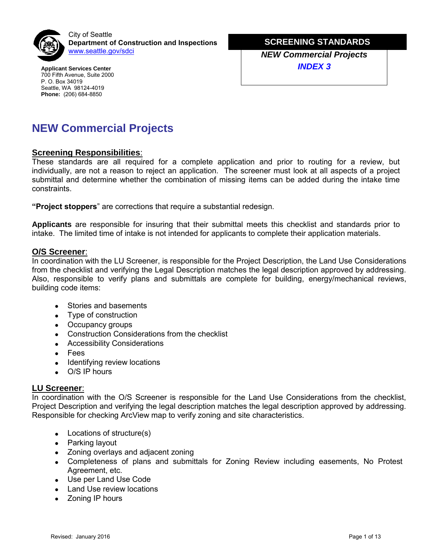

[www.seattle.gov/](http://www.seattle.gov/dpd)sdci **NEW Commercial Projects** City of Seattle **Department of Construction and Inspections**

**Applicant Services Center** 700 Fifth Avenue, Suite 2000 P. O. Box 34019 Seattle, WA 98124-4019 **Phone:** (206) 684-8850

**MINOR TELECOMM SCREENING STANDARDS**

*INDEX 3*

# **NEW Commercial Projects**

#### **Screening Responsibilities**:

**Screening Responsibilities:**<br>These standards are all required for a complete application and prior to routing for a review, but individually, are not a reason to reject an application. The screener must look at all aspects of a project individually, are not a reason to reject an application. The screener must look at all aspects of a project submittal and determine whether the combination of missing items can be added during the intake time constraints.

**"Project stoppers**" are corrections that require a substantial redesign.

**Applicants** are responsible for insuring that their submittal meets this checklist and standards prior to intake. The limited time of intake is not intended for applicants to complete their application materials.

#### **O/S Screener**:

In coordination with the LU Screener, is responsible for the Project Description, the Land Use Considerations from the checklist and verifying the Legal Description matches the legal description approved by addressing. Also, responsible to verify plans and submittals are complete for building, energy/mechanical reviews, building code items:

- Stories and basements
- Type of construction
- Occupancy groups
- Construction Considerations from the checklist
- Accessibility Considerations
- Fees
- Identifying review locations
- O/S IP hours

#### **LU Screener**:

In coordination with the O/S Screener is responsible for the Land Use Considerations from the checklist, Project Description and verifying the legal description matches the legal description approved by addressing. Responsible for checking ArcView map to verify zoning and site characteristics.

- Locations of structure(s)
- Parking layout
- Zoning overlays and adjacent zoning
- Completeness of plans and submittals for Zoning Review including easements, No Protest Agreement, etc.
- Use per Land Use Code
- Land Use review locations
- Zoning IP hours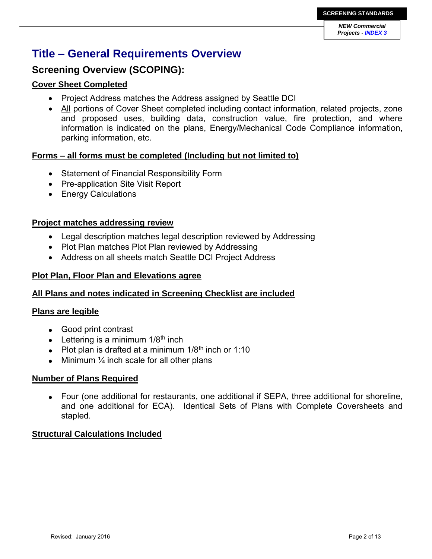# **Title – General Requirements Overview**

# **Screening Overview (SCOPING):**

## **Cover Sheet Completed**

- Project Address matches the Address assigned by Seattle DCI
- All portions of Cover Sheet completed including contact information, related projects, zone and proposed uses, building data, construction value, fire protection, and where information is indicated on the plans, Energy/Mechanical Code Compliance information, parking information, etc.

## **Forms – all forms must be completed (Including but not limited to)**

- Statement of Financial Responsibility Form
- Pre-application Site Visit Report
- Energy Calculations

## **Project matches addressing review**

- Legal description matches legal description reviewed by Addressing
- Plot Plan matches Plot Plan reviewed by Addressing
- Address on all sheets match Seattle DCI Project Address

## **Plot Plan, Floor Plan and Elevations agree**

## **All Plans and notes indicated in Screening Checklist are included**

## **Plans are legible**

- Good print contrast
- Lettering is a minimum  $1/8<sup>th</sup>$  inch
- Plot plan is drafted at a minimum  $1/8<sup>th</sup>$  inch or 1:10
- $\bullet$  Minimum  $\frac{1}{4}$  inch scale for all other plans

## **Number of Plans Required**

 Four (one additional for restaurants, one additional if SEPA, three additional for shoreline, and one additional for ECA). Identical Sets of Plans with Complete Coversheets and stapled.

## **Structural Calculations Included**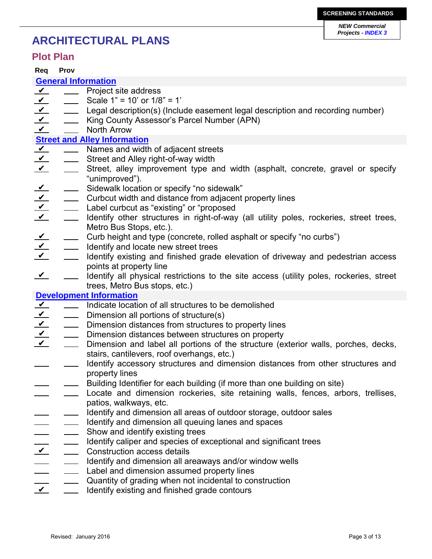# **ARCHITECTURAL PLANS**

## **Plot Plan**

**Req Prov**

### **General Information**

- Project site address  $\boldsymbol{\nu}$
- $\vee$ Scale 1" = 10' or 1/8" = 1'  $\overline{\phantom{a}}$
- Legal description(s) (Include easement legal description and recording number)  $\boldsymbol{\nu}$
- $\boldsymbol{\nu}$ King County Assessor's Parcel Number (APN)  $\mathbb{R}^n$
- North Arrow  $\mathbf v$

### **Street and Alley Information**

- Names and width of adjacent streets  $\sqrt{ }$
- Street and Alley right-of-way width  $\vee$
- Street, alley improvement type and width (asphalt, concrete, gravel or specify "unimproved").  $\boldsymbol{\nu}$
- Sidewalk location or specify "no sidewalk"  $\checkmark$
- Curbcut width and distance from adjacent property lines  $\boldsymbol{\mathcal{V}}$
- Label curbcut as "existing" or "proposed  $\overline{\mathbf{v}}$
- Identify other structures in right-of-way (all utility poles, rockeries, street trees, Metro Bus Stops, etc.).  $\overline{\mathbf{v}}$
- Curb height and type (concrete, rolled asphalt or specify "no curbs")  $\vee$
- Identify and locate new street trees  $\sqrt{ }$
- Identify existing and finished grade elevation of driveway and pedestrian access points at property line  $\vee$
- Identify all physical restrictions to the site access (utility poles, rockeries, street trees, Metro Bus stops, etc.)  $\sqrt{ }$

### **Development Information**

- Indicate location of all structures to be demolished  $\sqrt{ }$
- Dimension all portions of structure(s)  $\boldsymbol{\nu}$
- **EXECUTE:** Dimension distances from structures to property lines  $\vee$
- **EXECUTE:** Dimension distances between structures on property  $\overline{\mathbf{v}}$
- Dimension and label all portions of the structure (exterior walls, porches, decks, stairs, cantilevers, roof overhangs, etc.)  $\boldsymbol{\nu}$
- Identify accessory structures and dimension distances from other structures and property lines
- Building Identifier for each building (if more than one building on site)
- Locate and dimension rockeries, site retaining walls, fences, arbors, trellises, patios, walkways, etc.
- Identify and dimension all areas of outdoor storage, outdoor sales
- Identify and dimension all queuing lanes and spaces
- Show and identify existing trees
- Identify caliper and species of exceptional and significant trees
- Construction access details  $\boldsymbol{v}$
- Identify and dimension all areaways and/or window wells
- Label and dimension assumed property lines
- Quantity of grading when not incidental to construction
- Identify existing and finished grade contours  $\checkmark$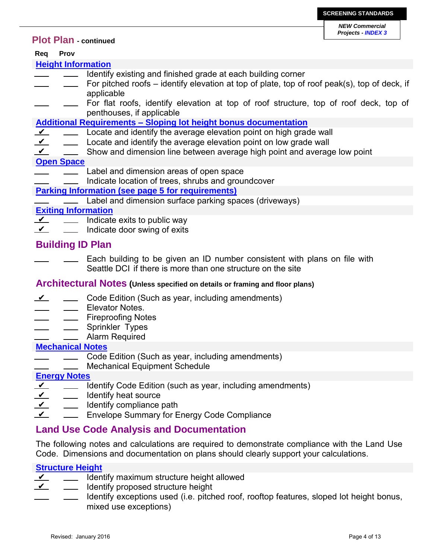### **Plot Plan - continued**

## **Req Prov**

#### **Height Information**

- Identify existing and finished grade at each building corner  $\overline{\phantom{0}}$
- For pitched roofs identify elevation at top of plate, top of roof peak(s), top of deck, if applicable
- For flat roofs, identify elevation at top of roof structure, top of roof deck, top of penthouses, if applicable

#### **Additional Requirements – Sloping lot height bonus documentation**

- Locate and identify the average elevation point on high grade wall  $\sqrt{ }$
- Locate and identify the average elevation point on low grade wall  $\overline{\mathbf{Y}}$
- Show and dimension line between average high point and average low point  $\sqrt{ }$

#### **Open Space**

- Label and dimension areas of open space
- Indicate location of trees, shrubs and groundcover

### **Parking Information (see page 5 for requirements)**

Label and dimension surface parking spaces (driveways)

#### **Exiting Information**

- Indicate exits to public way  $\boldsymbol{\nu}$
- Indicate door swing of exits  $\vee$

## **Building ID Plan**

Each building to be given an ID number consistent with plans on file with Seattle DCI if there is more than one structure on the site

### **Architectural Notes (Unless specified on details or framing and floor plans)**

- Code Edition (Such as year, including amendments)  $\boldsymbol{\nu}$
- Elevator Notes.
- Fireproofing Notes
- Sprinkler Types
- Alarm Required

### **Mechanical Notes**

- Code Edition (Such as year, including amendments)
- Mechanical Equipment Schedule

### **Energy Notes**

- Identify Code Edition (such as year, including amendments)  $\sqrt{ }$
- Identify heat source  $\boldsymbol{\nu}$
- Identify compliance path  $\checkmark$
- Envelope Summary for Energy Code Compliance  $\checkmark$

## **Land Use Code Analysis and Documentation**

The following notes and calculations are required to demonstrate compliance with the Land Use Code. Dimensions and documentation on plans should clearly support your calculations.

## **Structure Height**

- Identify maximum structure height allowed  $\sqrt{ }$
- Identify proposed structure height  $\checkmark$
- Identify exceptions used (i.e. pitched roof, rooftop features, sloped lot height bonus, mixed use exceptions)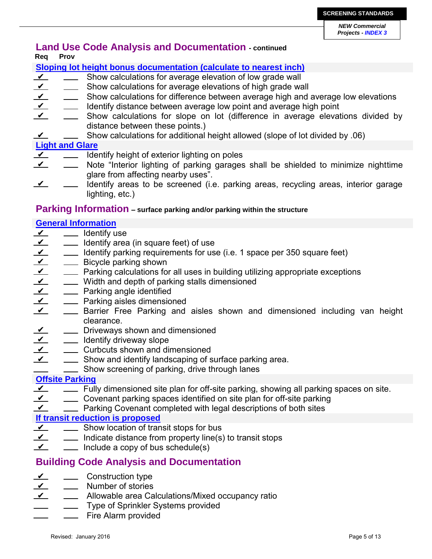## **Land Use Code Analysis and Documentation - continued Req Prov**

## **Sloping lot height bonus documentation (calculate to nearest inch)**

- $\overline{\mathbf{Y}}$  $\frac{1}{2}$ Show calculations for average elevation of low grade wall
- Show calculations for average elevations of high grade wall  $\sqrt{ }$
- $\sqrt{ }$ Show calculations for difference between average high and average low elevations  $\mathcal{L}^{\text{max}}$
- Identify distance between average low point and average high point  $\sqrt{ }$
- Show calculations for slope on lot (difference in average elevations divided by distance between these points.)  $\overline{\mathbf{v}}$
- Show calculations for additional height allowed (slope of lot divided by .06)  $\mathbf{v}$

## **Light and Glare**

- $\overline{\mathbf{v}}$ Identify height of exterior lighting on poles  $\overline{\phantom{0}}$
- Note "Interior lighting of parking garages shall be shielded to minimize nighttime glare from affecting nearby uses".  $\sqrt{ }$
- Identify areas to be screened (i.e. parking areas, recycling areas, interior garage lighting, etc.)  $\sqrt{ }$

## **Parking Information – surface parking and/or parking within the structure**

## **General Information**

- \_\_ ldentify use  $\sqrt{ }$
- Identify area (in square feet) of use  $\sqrt{ }$
- Identify parking requirements for use (i.e. 1 space per 350 square feet)  $\sqrt{ }$
- **EXECUTE:** Bicycle parking shown  $\sqrt{ }$
- Parking calculations for all uses in building utilizing appropriate exceptions  $\sqrt{ }$
- Width and depth of parking stalls dimensioned  $\checkmark$
- **EXECUTE:** Parking angle identified  $\overline{\mathbf{Y}}$
- **EXEC** Parking aisles dimensioned  $\vee$
- **EXEC** Barrier Free Parking and aisles shown and dimensioned including van height clearance.  $\sqrt{ }$
- **No. 2018** Driveways shown and dimensioned  $\overline{\mathbf{v}}$
- **IDENTIFY driveway slope**  $\sqrt{ }$
- **Curbcuts shown and dimensioned**  $\sqrt{ }$
- Show and identify landscaping of surface parking area.  $\sqrt{ }$
- **Show screening of parking, drive through lanes**

## **Offsite Parking**

- Fully dimensioned site plan for off-site parking, showing all parking spaces on site.  $\sqrt{ }$
- Covenant parking spaces identified on site plan for off-site parking  $\overline{\mathbf{v}}$
- Parking Covenant completed with legal descriptions of both sites  $\sqrt{ }$

## **If transit reduction is proposed**

- **Show location of transit stops for bus**  $\overline{\mathbf{Y}}$
- Indicate distance from property line(s) to transit stops  $\sqrt{ }$
- $\equiv$  Include a copy of bus schedule(s)  $\sqrt{ }$

# **Building Code Analysis and Documentation**

- Construction type  $\vee$
- Number of stories  $\vee$
- Allowable area Calculations/Mixed occupancy ratio  $\sqrt{ }$
- Type of Sprinkler Systems provided
- Fire Alarm provided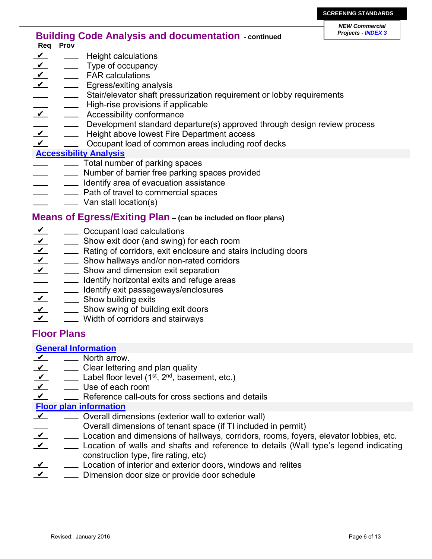## **Building Code Analysis and documentation** - **continued Req Prov**

- $\sqrt{ }$ Height calculations
- Type of occupancy  $\sqrt{ }$
- **EXALC** calculations  $\sqrt{ }$
- **Egress/exiting analysis**  $\sqrt{ }$
- Stair/elevator shaft pressurization requirement or lobby requirements
- High-rise provisions if applicable
- **EXECUTE:** Accessibility conformance ✔
- Development standard departure(s) approved through design review process
- **EXEC** Height above lowest Fire Department access  $\sqrt{ }$
- Occupant load of common areas including roof decks  $\overline{\mathbf{v}}$

### **Accessibility Analysis**

- $\frac{1}{1}$  Total number of parking spaces
- **Number of barrier free parking spaces provided**
- <u>I</u> Identify area of evacuation assistance
- Path of travel to commercial spaces
- **Wan stall location(s)**

### **Means of Egress/Exiting Plan – (can be included on floor plans)**

- **EXECUPANT COCCUPANT COCCUPANT** CONCURTED **CONCLUS**  $\vee$
- Show exit door (and swing) for each room  $\overline{\mathbf{v}}$
- **EXECUTE:** Rating of corridors, exit enclosure and stairs including doors  $\sqrt{ }$
- **EXECUTE:** Show hallways and/or non-rated corridors  $\overline{\mathbf{Y}}$
- **EXECUTE:** Show and dimension exit separation  $\sqrt{ }$
- $\overline{\phantom{0}}$ **IDENT** Identify horizontal exits and refuge areas
- **IDENTIFY EXIT passageways/enclosures**
- **Show building exits**  $\overline{\mathbf{Y}}$
- **EXECUTE:** Show swing of building exit doors  $\overline{\mathbf{Y}}$
- Width of corridors and stairways  $\mathbf{v}$

## **Floor Plans**

### **General Information**

- **North arrow.**  $\sqrt{ }$
- **Clear lettering and plan quality**  $\overline{\mathbf{v}}$
- $\frac{1}{\sqrt{1-\frac{1}{n}}}$  Label floor level (1<sup>st</sup>, 2<sup>nd</sup>, basement, etc.)  $\sqrt{ }$
- Use of each room  $\overline{\mathbf{v}}$
- **EXECTE FOR EXECTE FIGHTS** Reference call-outs for cross sections and details  $\sqrt{}$

### **Floor plan information**

- Overall dimensions (exterior wall to exterior wall)  $\chi$ 
	- Overall dimensions of tenant space (if TI included in permit)
- Location and dimensions of hallways, corridors, rooms, foyers, elevator lobbies, etc.  $\sqrt{ }$
- Location of walls and shafts and reference to details (Wall type's legend indicating construction type, fire rating, etc)  $\overline{\mathbf{v}}$
- Location of interior and exterior doors, windows and relites  $\overline{\mathbf{Y}}$
- Dimension door size or provide door schedule  $\mathbf v$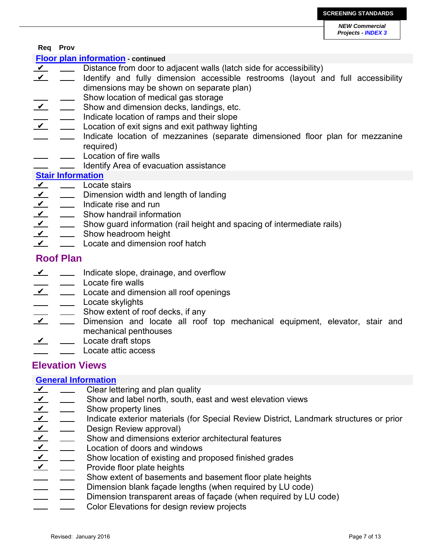#### **Req Prov**

#### **Floor plan information - continued**

- Distance from door to adjacent walls (latch side for accessibility)  $\mathbf{v}$
- Identify and fully dimension accessible restrooms (layout and full accessibility dimensions may be shown on separate plan)  $\sqrt{ }$
- Show location of medical gas storage
- Show and dimension decks, landings, etc.  $\mathbf v$
- Indicate location of ramps and their slope
- Location of exit signs and exit pathway lighting  $\sqrt{ }$
- Indicate location of mezzanines (separate dimensioned floor plan for mezzanine required)
- Location of fire walls
	- Identify Area of evacuation assistance

#### **Stair Information**

- Locate stairs  $\sqrt{ }$  $\frac{1}{2}$  and  $\frac{1}{2}$
- Dimension width and length of landing  $\overline{\mathbf{Y}}$
- Indicate rise and run  $\vee$
- Show handrail information  $\vee$
- Show guard information (rail height and spacing of intermediate rails)  $\overline{\mathbf{v}}$
- Show headroom height  $\sqrt{ }$
- Locate and dimension roof hatch  $\sqrt{ }$

## **Roof Plan**

- Indicate slope, drainage, and overflow  $\mathbf{v}$
- Locate fire walls
- Locate and dimension all roof openings  $\sqrt{ }$
- Locate skylights
- Show extent of roof decks, if any
- Dimension and locate all roof top mechanical equipment, elevator, stair and mechanical penthouses  $\boldsymbol{\nu}$
- Locate draft stops  $\sqrt{ }$
- Locate attic access

## **Elevation Views**

#### **General Information**

- Clear lettering and plan quality ✔
- Show and label north, south, east and west elevation views  $\overline{\mathbf{Y}}$
- Show property lines  $\sqrt{ }$
- $\overline{\mathbf{v}}$ Indicate exterior materials (for Special Review District, Landmark structures or prior  $\mathcal{L}^{\mathcal{L}}$  .
- Design Review approval)  $\checkmark$
- Show and dimensions exterior architectural features  $\checkmark$
- Location of doors and windows  $\boldsymbol{\nu}$
- Show location of existing and proposed finished grades  $\sqrt{ }$
- Provide floor plate heights  $\boldsymbol{\mathcal{V}}$
- Show extent of basements and basement floor plate heights
- Dimension blank façade lengths (when required by LU code)
- Dimension transparent areas of façade (when required by LU code)
- Color Elevations for design review projects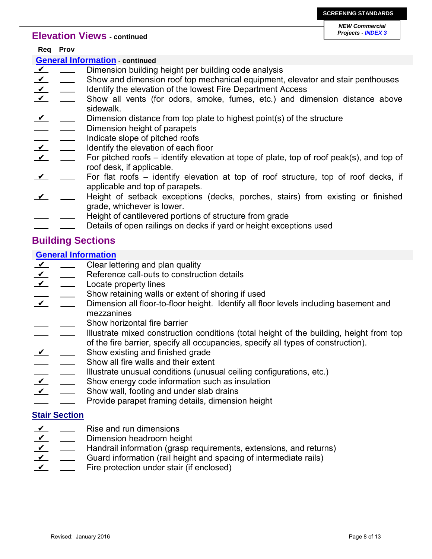#### **Elevation Views - continued**

*NEW Commercial Projects - INDEX 3*

|                                        | Req Prov |                                                                                          |  |  |  |
|----------------------------------------|----------|------------------------------------------------------------------------------------------|--|--|--|
| <b>General Information - continued</b> |          |                                                                                          |  |  |  |
| $\overline{\mathbf{Y}}$                |          | Dimension building height per building code analysis                                     |  |  |  |
| $\gamma$                               |          | Show and dimension roof top mechanical equipment, elevator and stair penthouses          |  |  |  |
| $\overline{\mathbf{Y}}$                |          | Identify the elevation of the lowest Fire Department Access                              |  |  |  |
| $\overline{\mathbf{Y}}$                |          | Show all vents (for odors, smoke, fumes, etc.) and dimension distance above              |  |  |  |
|                                        |          | sidewalk.                                                                                |  |  |  |
| $\overline{\mathbf{Y}}$                |          | Dimension distance from top plate to highest point(s) of the structure                   |  |  |  |
|                                        |          | Dimension height of parapets                                                             |  |  |  |
| $\overline{\mathbf{v}}$                |          | Indicate slope of pitched roofs                                                          |  |  |  |
|                                        |          | Identify the elevation of each floor                                                     |  |  |  |
| $\vee$                                 |          | For pitched roofs – identify elevation at tope of plate, top of roof peak(s), and top of |  |  |  |
|                                        |          | roof desk, if applicable.                                                                |  |  |  |
| $\overline{\mathbf{Y}}$                |          | For flat roofs – identify elevation at top of roof structure, top of roof decks, if      |  |  |  |
|                                        |          | applicable and top of parapets.                                                          |  |  |  |
| $\boldsymbol{\vee}$                    |          | Height of setback exceptions (decks, porches, stairs) from existing or finished          |  |  |  |
|                                        |          | grade, whichever is lower.                                                               |  |  |  |
|                                        |          | Height of cantilevered portions of structure from grade                                  |  |  |  |

Details of open railings on decks if yard or height exceptions used

## **Building Sections**

#### **General Information**

- $\overline{\mathbf{v}}$ Clear lettering and plan quality  $\overline{\phantom{0}}$
- Reference call-outs to construction details  $\sqrt{ }$
- Locate property lines  $\sqrt{ }$
- Show retaining walls or extent of shoring if used
- Dimension all floor-to-floor height. Identify all floor levels including basement and mezzanines  $\checkmark$ 
	- Show horizontal fire barrier
- Illustrate mixed construction conditions (total height of the building, height from top of the fire barrier, specify all occupancies, specify all types of construction).
- Show existing and finished grade  $\boldsymbol{\nu}$
- Show all fire walls and their extent
- Illustrate unusual conditions (unusual ceiling configurations, etc.)
- Show energy code information such as insulation  $\boldsymbol{\nu}$
- Show wall, footing and under slab drains  $\sqrt{ }$
- Provide parapet framing details, dimension height

### **Stair Section**

- Rise and run dimensions  $\sqrt{ }$
- Dimension headroom height  $\sqrt{ }$
- Handrail information (grasp requirements, extensions, and returns)  $\sqrt{ }$  $\overline{\phantom{a}}$
- Guard information (rail height and spacing of intermediate rails)  $\overline{\mathbf{v}}$
- Fire protection under stair (if enclosed)  $\checkmark$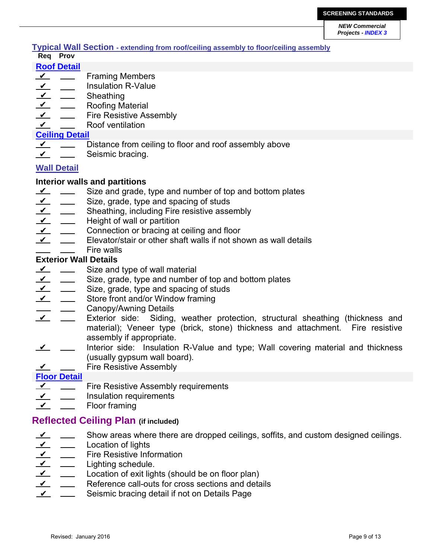#### **Typical Wall Section - extending from roof/ceiling assembly to floor/ceiling assembly Req Prov**

### **Roof Detail**

- Framing Members  $\sqrt{ }$
- Insulation R-Value  $\sqrt{ }$
- **Sheathing**  $\boldsymbol{\nu}$
- Roofing Material  $\overline{\mathbf{Y}}$
- Fire Resistive Assembly  $\sqrt{ }$
- Roof ventilation  $\checkmark$

### **Ceiling Detail**

- $\sqrt{ }$  $\overline{\phantom{a}}$ Distance from ceiling to floor and roof assembly above
- Seismic bracing.  $\checkmark$

## **Wall Detail**

## **Interior walls and partitions**

- $\sqrt{ }$ Size and grade, type and number of top and bottom plates  $\frac{1}{2}$  and  $\frac{1}{2}$
- Size, grade, type and spacing of studs  $\sqrt{ }$
- Sheathing, including Fire resistive assembly  $\sqrt{ }$
- Height of wall or partition  $\overline{\mathbf{Y}}$
- Connection or bracing at ceiling and floor  $\checkmark$
- Elevator/stair or other shaft walls if not shown as wall details  $\sqrt{ }$
- Fire walls

## **Exterior Wall Details**

- Size and type of wall material  $\sqrt{ }$
- Size, grade, type and number of top and bottom plates  $\sqrt{ }$
- Size, grade, type and spacing of studs  $\sqrt{ }$
- Store front and/or Window framing  $\boldsymbol{\nu}$
- Canopy/Awning Details
- Exterior side: Siding, weather protection, structural sheathing (thickness and material); Veneer type (brick, stone) thickness and attachment. Fire resistive assembly if appropriate.  $\boldsymbol{\nu}$
- Interior side: Insulation R-Value and type; Wall covering material and thickness (usually gypsum wall board).  $\sqrt{ }$
- Fire Resistive Assembly  $\checkmark$

## **Floor Detail**

- Fire Resistive Assembly requirements  $\sqrt{ }$
- Insulation requirements  $\sqrt{ }$
- Floor framing  $\mathbf v$

## **Reflected Ceiling Plan (if included)**

- Show areas where there are dropped ceilings, soffits, and custom designed ceilings.  $\sqrt{ }$
- Location of lights  $\sqrt{ }$
- Fire Resistive Information  $\mathbf{v}$
- Lighting schedule.  $\checkmark$
- Location of exit lights (should be on floor plan)  $\overline{\mathbf{Y}}$
- Reference call-outs for cross sections and details  $\checkmark$
- Seismic bracing detail if not on Details Page  $\checkmark$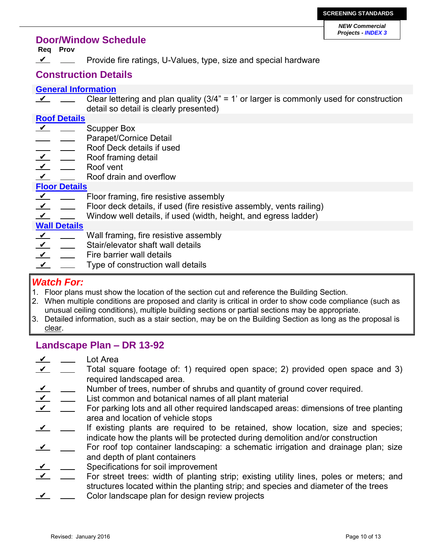### **Door/Window Schedule**

**Req Prov**

Provide fire ratings, U-Values, type, size and special hardware  $\checkmark$ 

## **Construction Details**

#### **General Information**

Clear lettering and plan quality (3/4" = 1' or larger is commonly used for construction detail so detail is clearly presented)  $\sqrt{ }$ 

#### **Roof Details**

- Scupper Box  $\overline{\mathbf{v}}$
- Parapet/Cornice Detail
- Roof Deck details if used
- Roof framing detail  $\overline{\mathbf{v}}$
- Roof vent  $\overline{\mathbf{Y}}$
- Roof drain and overflow  $\checkmark$

#### **Floor Details**

- $\sqrt{ }$ Floor framing, fire resistive assembly  $\frac{1}{2}$  and  $\frac{1}{2}$
- Floor deck details, if used (fire resistive assembly, vents railing)  $\sqrt{ }$
- Window well details, if used (width, height, and egress ladder)  $\checkmark$

### **Wall Details**

- Wall framing, fire resistive assembly  $\checkmark$
- Stair/elevator shaft wall details  $\sqrt{}$
- Fire barrier wall details  $\mathbf v$
- Type of construction wall details ✔

### *Watch For:*

- 1. Floor plans must show the location of the section cut and reference the Building Section.
- 2. When multiple conditions are proposed and clarity is critical in order to show code compliance (such as unusual ceiling conditions), multiple building sections or partial sections may be appropriate.
- 3. Detailed information, such as a stair section, may be on the Building Section as long as the proposal is clear.

## **Landscape Plan – DR 13-92**

- Lot Area  $\sqrt{ }$
- Total square footage of: 1) required open space; 2) provided open space and 3) required landscaped area.  $\sqrt{ }$
- Number of trees, number of shrubs and quantity of ground cover required.  $\sqrt{ }$
- List common and botanical names of all plant material  $\sqrt{ }$
- For parking lots and all other required landscaped areas: dimensions of tree planting area and location of vehicle stops  $\sqrt{ }$
- If existing plants are required to be retained, show location, size and species; indicate how the plants will be protected during demolition and/or construction  $\overline{\mathbf{v}}$   $\overline{\mathbf{v}}$
- For roof top container landscaping: a schematic irrigation and drainage plan; size and depth of plant containers  $\sqrt{ }$
- Specifications for soil improvement  $\mathbf{v}$
- For street trees: width of planting strip; existing utility lines, poles or meters; and structures located within the planting strip; and species and diameter of the trees ✔
- Color landscape plan for design review projects  $\overline{\mathbf{v}}$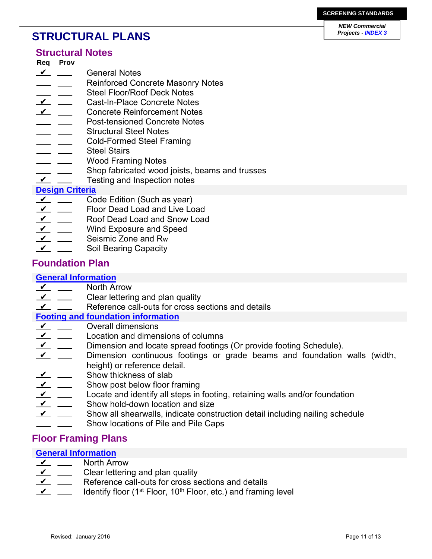# **STRUCTURAL PLANS**

### **Structural Notes**

- **Req Prov**
- General Notes  $\frac{\nu}{\nu}$   $\frac{\nu}{\nu}$
- Reinforced Concrete Masonry Notes <u>and the state</u>
- Steel Floor/Roof Deck Notes
- Cast-In-Place Concrete Notes  $\mathcal{L}$   $\mathcal{L}$
- Concrete Reinforcement Notes  $\mathbf{v}$   $\mathbf{v}$
- Post-tensioned Concrete Notes
- Structural Steel Notes - -
- Cold-Formed Steel Framing
- Steel Stairs
- Wood Framing Notes
- Shop fabricated wood joists, beams and trusses
- Testing and Inspection notes  $\sqrt{ }$

## **Design Criteria**

- Code Edition (Such as year)  $\mathbf{v}$   $\mathbf{v}$
- Floor Dead Load and Live Load  $\overline{\mathbf{v}}$   $\overline{\mathbf{v}}$
- Roof Dead Load and Snow Load  $\mathbf{v}$   $\mathbf{v}$
- Wind Exposure and Speed  $\mathbf{v}$   $\mathbf{v}$
- Seismic Zone and Rw  $\mathbf{v}$   $\mathbf{v}$
- Soil Bearing Capacity  $\overline{\mathbf{v}}$   $\overline{\mathbf{v}}$

## **Foundation Plan**

### **General Information**

- North Arrow  $\frac{v}{\sqrt{2}}$
- Clear lettering and plan quality  $\frac{V}{V}$
- Reference call-outs for cross sections and details  $\sqrt{ }$

### **Footing and foundation information**

- Overall dimensions  $\mathbf{v}$   $\mathbf{v}$
- Location and dimensions of columns  $\overline{\mathbf{v}}$   $\overline{\mathbf{v}}$
- Dimension and locate spread footings (Or provide footing Schedule).  $\mathbf{v}$   $\mathbf{v}$
- Dimension continuous footings or grade beams and foundation walls (width, height) or reference detail.  $\overline{\mathbf{v}}$   $\overline{\mathbf{v}}$
- Show thickness of slab  $\overline{\nu}$  .
- Show post below floor framing  $\overline{\mathbf{v}}$   $\overline{\mathbf{v}}$
- Locate and identify all steps in footing, retaining walls and/or foundation  $\sqrt{ }$
- Show hold-down location and size  $\overline{\mathbf{v}}$   $\overline{\mathbf{v}}$
- Show all shearwalls, indicate construction detail including nailing schedule  $\sqrt{ }$ 
	- Show locations of Pile and Pile Caps

## **Floor Framing Plans**

### **General Information**

- North Arrow  $\mathcal{L}$   $\mathcal{L}$
- Clear lettering and plan quality  $\frac{\nu}{\nu}$
- Reference call-outs for cross sections and details  $\overline{\mathbf{v}}$   $\overline{\mathbf{v}}$
- Identify floor ( $1<sup>st</sup>$  Floor,  $10<sup>th</sup>$  Floor, etc.) and framing level  $\overline{\mathbf{v}}$   $\overline{\mathbf{v}}$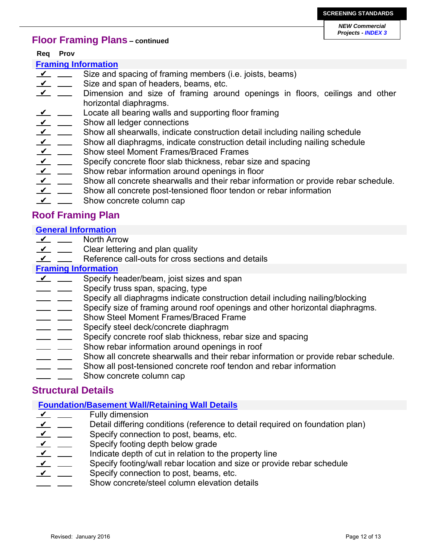## **Floor Framing Plans – continued**

**Req Prov**

#### **Framing Information**

- Size and spacing of framing members (i.e. joists, beams)  $\mathbf{v}$   $\mathbf{v}$
- Size and span of headers, beams, etc.  $\mathbf{v}$   $\mathbf{v}$
- Dimension and size of framing around openings in floors, ceilings and other horizontal diaphragms.  $\frac{V}{V}$
- Locate all bearing walls and supporting floor framing  $\mathbf{v}$   $\mathbf{v}$
- Show all ledger connections  $\frac{V}{V}$
- Show all shearwalls, indicate construction detail including nailing schedule  $\sqrt{ }$
- Show all diaphragms, indicate construction detail including nailing schedule  $\frac{\nu}{\nu}$   $\frac{\nu}{\nu}$
- Show steel Moment Frames/Braced Frames  $\frac{V}{V}$
- Specify concrete floor slab thickness, rebar size and spacing  $\frac{V}{V}$
- Show rebar information around openings in floor  $\frac{\nu}{\nu}$   $\frac{\nu}{\nu}$
- Show all concrete shearwalls and their rebar information or provide rebar schedule.  $\mathbf{v}$   $\mathbf{v}$
- Show all concrete post-tensioned floor tendon or rebar information  $\overline{\mathbf{Y}}$
- Show concrete column cap  $\sqrt{ }$

## **Roof Framing Plan**

## **General Information**

- North Arrow  $\mathbf{v}$   $\mathbf{v}$
- Clear lettering and plan quality  $\frac{\nu}{\nu}$
- Reference call-outs for cross sections and details ✔

#### **Framing Information**

- Specify header/beam, joist sizes and span  $\sqrt{2}$
- Specify truss span, spacing, type
- Specify all diaphragms indicate construction detail including nailing/blocking
- Specify size of framing around roof openings and other horizontal diaphragms.
- Show Steel Moment Frames/Braced Frame
- Specify steel deck/concrete diaphragm  $\sim$
- Specify concrete roof slab thickness, rebar size and spacing
- Show rebar information around openings in roof
- Show all concrete shearwalls and their rebar information or provide rebar schedule.
- Show all post-tensioned concrete roof tendon and rebar information  $\sim$
- Show concrete column cap

## **Structural Details**

### **Foundation/Basement Wall/Retaining Wall Details**

- Fully dimension  $\frac{V}{V}$
- Detail differing conditions (reference to detail required on foundation plan)  $\frac{V}{V}$
- Specify connection to post, beams, etc.  $\frac{\nu}{\nu}$
- Specify footing depth below grade  $\mathbf{v}$   $\mathbf{v}$
- Indicate depth of cut in relation to the property line  $\mathbf{v}$   $\mathbf{v}$
- Specify footing/wall rebar location and size or provide rebar schedule  $\angle$
- Specify connection to post, beams, etc.  $\mathbf{v}$   $\mathbf{v}$
- Show concrete/steel column elevation details